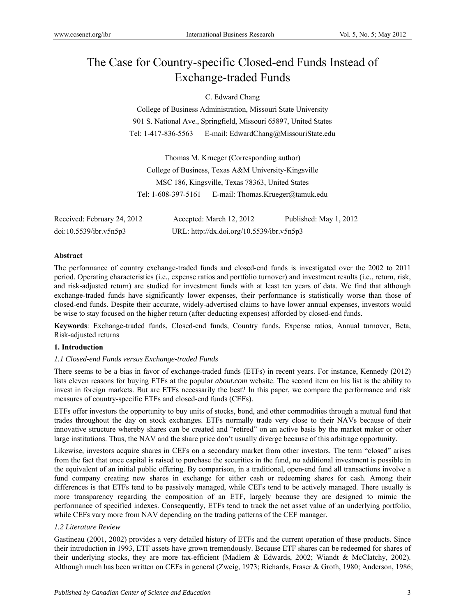# The Case for Country-specific Closed-end Funds Instead of Exchange-traded Funds

## C. Edward Chang

College of Business Administration, Missouri State University 901 S. National Ave., Springfield, Missouri 65897, United States Tel: 1-417-836-5563 E-mail: EdwardChang@MissouriState.edu

Thomas M. Krueger (Corresponding author) College of Business, Texas A&M University-Kingsville MSC 186, Kingsville, Texas 78363, United States Tel: 1-608-397-5161 E-mail: Thomas.Krueger@tamuk.edu

| Received: February 24, 2012 | Accepted: March 12, 2012                  | Published: May 1, 2012 |
|-----------------------------|-------------------------------------------|------------------------|
| doi:10.5539/ibr.v5n5p3      | URL: http://dx.doi.org/10.5539/ibr.v5n5p3 |                        |

#### **Abstract**

The performance of country exchange-traded funds and closed-end funds is investigated over the 2002 to 2011 period. Operating characteristics (i.e., expense ratios and portfolio turnover) and investment results (i.e., return, risk, and risk-adjusted return) are studied for investment funds with at least ten years of data. We find that although exchange-traded funds have significantly lower expenses, their performance is statistically worse than those of closed-end funds. Despite their accurate, widely-advertised claims to have lower annual expenses, investors would be wise to stay focused on the higher return (after deducting expenses) afforded by closed-end funds.

**Keywords**: Exchange-traded funds, Closed-end funds, Country funds, Expense ratios, Annual turnover, Beta, Risk-adjusted returns

#### **1. Introduction**

#### *1.1 Closed-end Funds versus Exchange-traded Funds*

There seems to be a bias in favor of exchange-traded funds (ETFs) in recent years. For instance, Kennedy (2012) lists eleven reasons for buying ETFs at the popular *about.com* website. The second item on his list is the ability to invest in foreign markets. But are ETFs necessarily the best? In this paper, we compare the performance and risk measures of country-specific ETFs and closed-end funds (CEFs).

ETFs offer investors the opportunity to buy units of stocks, bond, and other commodities through a mutual fund that trades throughout the day on stock exchanges. ETFs normally trade very close to their NAVs because of their innovative structure whereby shares can be created and "retired" on an active basis by the market maker or other large institutions. Thus, the NAV and the share price don't usually diverge because of this arbitrage opportunity.

Likewise, investors acquire shares in CEFs on a secondary market from other investors. The term "closed" arises from the fact that once capital is raised to purchase the securities in the fund, no additional investment is possible in the equivalent of an initial public offering. By comparison, in a traditional, open-end fund all transactions involve a fund company creating new shares in exchange for either cash or redeeming shares for cash. Among their differences is that ETFs tend to be passively managed, while CEFs tend to be actively managed. There usually is more transparency regarding the composition of an ETF, largely because they are designed to mimic the performance of specified indexes. Consequently, ETFs tend to track the net asset value of an underlying portfolio, while CEFs vary more from NAV depending on the trading patterns of the CEF manager.

#### *1.2 Literature Review*

Gastineau (2001, 2002) provides a very detailed history of ETFs and the current operation of these products. Since their introduction in 1993, ETF assets have grown tremendously. Because ETF shares can be redeemed for shares of their underlying stocks, they are more tax-efficient (Madlem & Edwards, 2002; Wiandt & McClatchy, 2002). Although much has been written on CEFs in general (Zweig, 1973; Richards, Fraser & Groth, 1980; Anderson, 1986;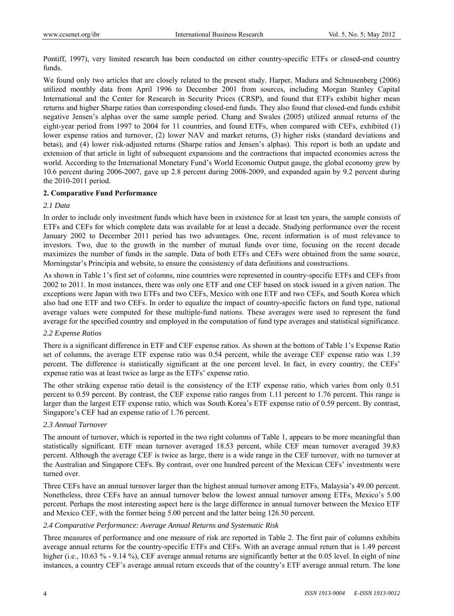Pontiff, 1997), very limited research has been conducted on either country-specific ETFs or closed-end country funds.

We found only two articles that are closely related to the present study. Harper, Madura and Schnusenberg (2006) utilized monthly data from April 1996 to December 2001 from sources, including Morgan Stanley Capital International and the Center for Research in Security Prices (CRSP), and found that ETFs exhibit higher mean returns and higher Sharpe ratios than corresponding closed-end funds. They also found that closed-end funds exhibit negative Jensen's alphas over the same sample period. Chang and Swales (2005) utilized annual returns of the eight-year period from 1997 to 2004 for 11 countries, and found ETFs, when compared with CEFs, exhibited (1) lower expense ratios and turnover, (2) lower NAV and market returns, (3) higher risks (standard deviations and betas), and (4) lower risk-adjusted returns (Sharpe ratios and Jensen's alphas). This report is both an update and extension of that article in light of subsequent expansions and the contractions that impacted economies across the world. According to the International Monetary Fund's World Economic Output gauge, the global economy grew by 10.6 percent during 2006-2007, gave up 2.8 percent during 2008-2009, and expanded again by 9.2 percent during the 2010-2011 period.

#### **2. Comparative Fund Performance**

### *2.1 Data*

In order to include only investment funds which have been in existence for at least ten years, the sample consists of ETFs and CEFs for which complete data was available for at least a decade. Studying performance over the recent January 2002 to December 2011 period has two advantages. One, recent information is of most relevance to investors. Two, due to the growth in the number of mutual funds over time, focusing on the recent decade maximizes the number of funds in the sample. Data of both ETFs and CEFs were obtained from the same source, Morningstar's Principia and website, to ensure the consistency of data definitions and constructions.

As shown in Table 1's first set of columns, nine countries were represented in country-specific ETFs and CEFs from 2002 to 2011. In most instances, there was only one ETF and one CEF based on stock issued in a given nation. The exceptions were Japan with two ETFs and two CEFs, Mexico with one ETF and two CEFs, and South Korea which also had one ETF and two CEFs. In order to equalize the impact of country-specific factors on fund type, national average values were computed for these multiple-fund nations. These averages were used to represent the fund average for the specified country and employed in the computation of fund type averages and statistical significance.

#### *2.2 Expense Ratios*

There is a significant difference in ETF and CEF expense ratios. As shown at the bottom of Table 1's Expense Ratio set of columns, the average ETF expense ratio was 0.54 percent, while the average CEF expense ratio was 1.39 percent. The difference is statistically significant at the one percent level. In fact, in every country, the CEFs' expense ratio was at least twice as large as the ETFs' expense ratio.

The other striking expense ratio detail is the consistency of the ETF expense ratio, which varies from only 0.51 percent to 0.59 percent. By contrast, the CEF expense ratio ranges from 1.11 percent to 1.76 percent. This range is larger than the largest ETF expense ratio, which was South Korea's ETF expense ratio of 0.59 percent. By contrast, Singapore's CEF had an expense ratio of 1.76 percent.

#### *2.3 Annual Turnover*

The amount of turnover, which is reported in the two right columns of Table 1, appears to be more meaningful than statistically significant. ETF mean turnover averaged 18.53 percent, while CEF mean turnover averaged 39.83 percent. Although the average CEF is twice as large, there is a wide range in the CEF turnover, with no turnover at the Australian and Singapore CEFs. By contrast, over one hundred percent of the Mexican CEFs' investments were turned over.

Three CEFs have an annual turnover larger than the highest annual turnover among ETFs, Malaysia's 49.00 percent. Nonetheless, three CEFs have an annual turnover below the lowest annual turnover among ETFs, Mexico's 5.00 percent. Perhaps the most interesting aspect here is the large difference in annual turnover between the Mexico ETF and Mexico CEF, with the former being 5.00 percent and the latter being 126.50 percent.

#### *2.4 Comparative Performance: Average Annual Returns and Systematic Risk*

Three measures of performance and one measure of risk are reported in Table 2. The first pair of columns exhibits average annual returns for the country-specific ETFs and CEFs. With an average annual return that is 1.49 percent higher (i.e., 10.63 % - 9.14 %), CEF average annual returns are significantly better at the 0.05 level. In eight of nine instances, a country CEF's average annual return exceeds that of the country's ETF average annual return. The lone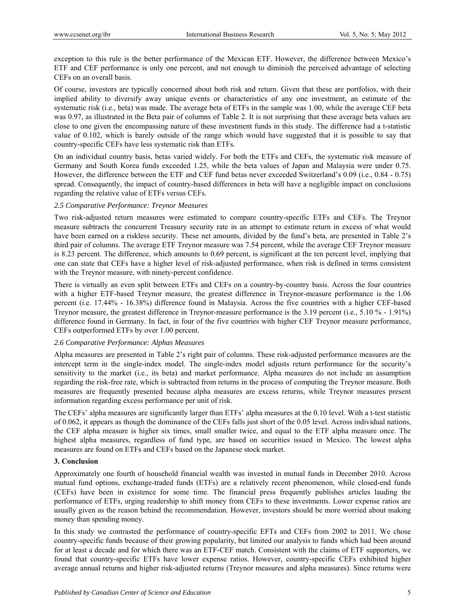exception to this rule is the better performance of the Mexican ETF. However, the difference between Mexico's ETF and CEF performance is only one percent, and not enough to diminish the perceived advantage of selecting CEFs on an overall basis.

Of course, investors are typically concerned about both risk and return. Given that these are portfolios, with their implied ability to diversify away unique events or characteristics of any one investment, an estimate of the systematic risk (i.e., beta) was made. The average beta of ETFs in the sample was 1.00, while the average CEF beta was 0.97, as illustrated in the Beta pair of columns of Table 2. It is not surprising that these average beta values are close to one given the encompassing nature of these investment funds in this study. The difference had a t-statistic value of 0.102, which is barely outside of the range which would have suggested that it is possible to say that country-specific CEFs have less systematic risk than ETFs.

On an individual country basis, betas varied widely. For both the ETFs and CEFs, the systematic risk measure of Germany and South Korea funds exceeded 1.25, while the beta values of Japan and Malaysia were under 0.75. However, the difference between the ETF and CEF fund betas never exceeded Switzerland's 0.09 (i.e., 0.84 - 0.75) spread. Consequently, the impact of country-based differences in beta will have a negligible impact on conclusions regarding the relative value of ETFs versus CEFs.

## *2.5 Comparative Performance: Treynor Measures*

Two risk-adjusted return measures were estimated to compare country-specific ETFs and CEFs. The Treynor measure subtracts the concurrent Treasury security rate in an attempt to estimate return in excess of what would have been earned on a riskless security. These net amounts, divided by the fund's beta, are presented in Table 2's third pair of columns. The average ETF Treynor measure was 7.54 percent, while the average CEF Treynor measure is 8.23 percent. The difference, which amounts to 0.69 percent, is significant at the ten percent level, implying that one can state that CEFs have a higher level of risk-adjusted performance, when risk is defined in terms consistent with the Treynor measure, with ninety-percent confidence.

There is virtually an even split between ETFs and CEFs on a country-by-country basis. Across the four countries with a higher ETF-based Treynor measure, the greatest difference in Treynor-measure performance is the 1.06 percent (i.e. 17.44% - 16.38%) difference found in Malaysia. Across the five countries with a higher CEF-based Treynor measure, the greatest difference in Treynor-measure performance is the 3.19 percent (i.e., 5.10 % - 1.91%) difference found in Germany. In fact, in four of the five countries with higher CEF Treynor measure performance, CEFs outperformed ETFs by over 1.00 percent.

#### *2.6 Comparative Performance: Alphas Measures*

Alpha measures are presented in Table 2's right pair of columns. These risk-adjusted performance measures are the intercept term in the single-index model. The single-index model adjusts return performance for the security's sensitivity to the market (i.e., its beta) and market performance. Alpha measures do not include an assumption regarding the risk-free rate, which is subtracted from returns in the process of computing the Treynor measure. Both measures are frequently presented because alpha measures are excess returns, while Treynor measures present information regarding excess performance per unit of risk.

The CEFs' alpha measures are significantly larger than ETFs' alpha measures at the 0.10 level. With a t-test statistic of 0.062, it appears as though the dominance of the CEFs falls just short of the 0.05 level. Across individual nations, the CEF alpha measure is higher six times, small smaller twice, and equal to the ETF alpha measure once. The highest alpha measures, regardless of fund type, are based on securities issued in Mexico. The lowest alpha measures are found on ETFs and CEFs based on the Japanese stock market.

## **3. Conclusion**

Approximately one fourth of household financial wealth was invested in mutual funds in December 2010. Across mutual fund options, exchange-traded funds (ETFs) are a relatively recent phenomenon, while closed-end funds (CEFs) have been in existence for some time. The financial press frequently publishes articles lauding the performance of ETFs, urging readership to shift money from CEFs to these investments. Lower expense ratios are usually given as the reason behind the recommendation. However, investors should be more worried about making money than spending money.

In this study we contrasted the performance of country-specific EFTs and CEFs from 2002 to 2011. We chose country-specific funds because of their growing popularity, but limited our analysis to funds which had been around for at least a decade and for which there was an ETF-CEF match. Consistent with the claims of ETF supporters, we found that country-specific ETFs have lower expense ratios. However, country-specific CEFs exhibited higher average annual returns and higher risk-adjusted returns (Treynor measures and alpha measures). Since returns were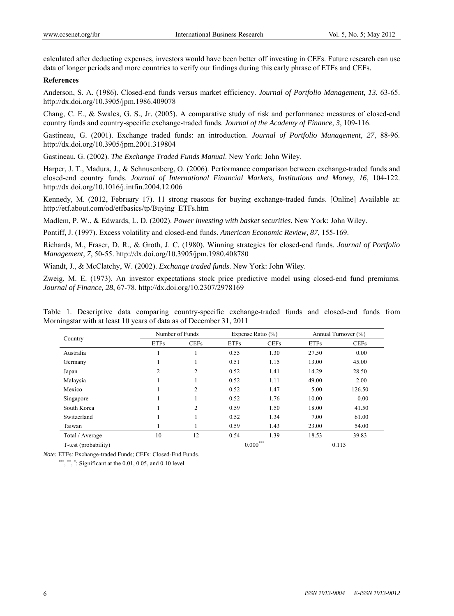calculated after deducting expenses, investors would have been better off investing in CEFs. Future research can use data of longer periods and more countries to verify our findings during this early phrase of ETFs and CEFs.

### **References**

Anderson, S. A. (1986). Closed-end funds versus market efficiency. *Journal of Portfolio Management, 13*, 63-65. http://dx.doi.org/10.3905/jpm.1986.409078

Chang, C. E., & Swales, G. S., Jr. (2005). A comparative study of risk and performance measures of closed-end country funds and country-specific exchange-traded funds. *Journal of the Academy of Finance*, *3*, 109-116.

Gastineau, G. (2001). Exchange traded funds: an introduction. *Journal of Portfolio Management, 27*, 88-96. http://dx.doi.org/10.3905/jpm.2001.319804

Gastineau, G. (2002). *The Exchange Traded Funds Manual*. New York: John Wiley.

Harper, J. T., Madura, J., & Schnusenberg, O. (2006). Performance comparison between exchange-traded funds and closed-end country funds. *Journal of International Financial Markets, Institutions and Money, 16*, 104-122. http://dx.doi.org/10.1016/j.intfin.2004.12.006

Kennedy, M. (2012, February 17). 11 strong reasons for buying exchange-traded funds. [Online] Available at: http://etf.about.com/od/etfbasics/tp/Buying\_ETFs.htm

Madlem, P. W., & Edwards, L. D. (2002). *Power investing with basket securities.* New York: John Wiley.

Pontiff, J. (1997). Excess volatility and closed-end funds. *American Economic Review, 87*, 155-169.

Richards, M., Fraser, D. R., & Groth, J. C. (1980). Winning strategies for closed-end funds. *Journal of Portfolio Management, 7*, 50-55. http://dx.doi.org/10.3905/jpm.1980.408780

Wiandt, J., & McClatchy, W. (2002). *Exchange traded funds*. New York: John Wiley.

Zweig, M. E. (1973). An investor expectations stock price predictive model using closed-end fund premiums. *Journal of Finance, 28*, 67-78. http://dx.doi.org/10.2307/2978169

Table 1. Descriptive data comparing country-specific exchange-traded funds and closed-end funds from Morningstar with at least 10 years of data as of December 31, 2011

|                      |                | Number of Funds |             | Expense Ratio $(\% )$ |             | Annual Turnover (%) |  |
|----------------------|----------------|-----------------|-------------|-----------------------|-------------|---------------------|--|
| Country              | <b>ETFs</b>    | <b>CEFs</b>     | <b>ETFs</b> | <b>CEFs</b>           | <b>ETFs</b> | <b>CEFs</b>         |  |
| Australia            |                |                 | 0.55        | 1.30                  | 27.50       | 0.00                |  |
| Germany              |                |                 | 0.51        | 1.15                  | 13.00       | 45.00               |  |
| Japan                | $\overline{2}$ | $\overline{2}$  | 0.52        | 1.41                  | 14.29       | 28.50               |  |
| Malaysia             |                |                 | 0.52        | 1.11                  | 49.00       | 2.00                |  |
| Mexico               |                | $\overline{c}$  | 0.52        | 1.47                  | 5.00        | 126.50              |  |
| Singapore            |                |                 | 0.52        | 1.76                  | 10.00       | 0.00                |  |
| South Korea          |                | $\overline{c}$  | 0.59        | 1.50                  | 18.00       | 41.50               |  |
| Switzerland          |                |                 | 0.52        | 1.34                  | 7.00        | 61.00               |  |
| Taiwan               |                |                 | 0.59        | 1.43                  | 23.00       | 54.00               |  |
| Total / Average      | 10             | 12              | 0.54        | 1.39                  | 18.53       | 39.83               |  |
| T-test (probability) |                |                 | $0.000***$  |                       | 0.115       |                     |  |

*Note:* ETFs: Exchange-traded Funds; CEFs: Closed-End Funds.

\*\*\*, \*\*, \*: Significant at the  $0.01, 0.05$ , and  $0.10$  level.